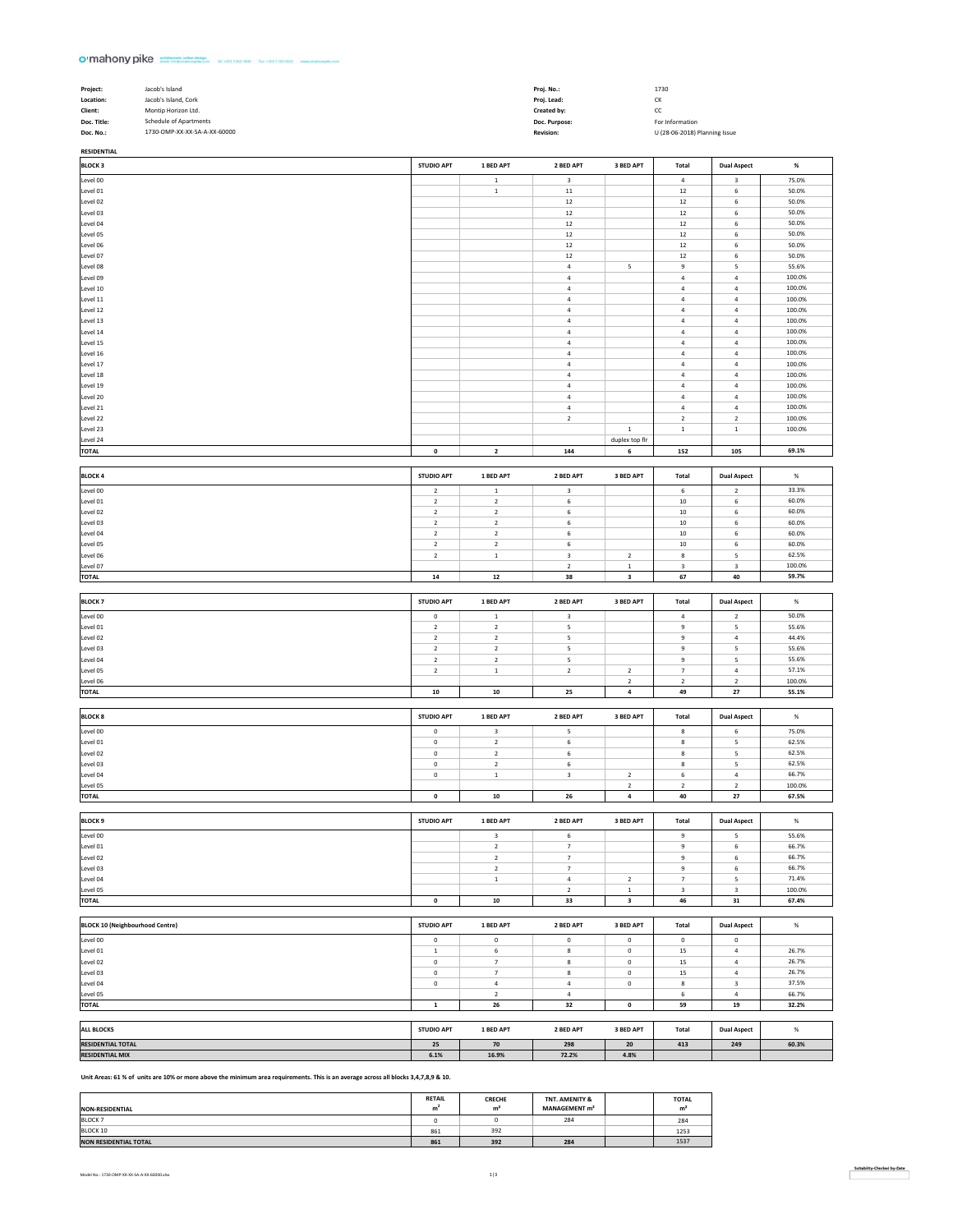## o mahony pike consistence watercome (window -

**RESIDENTIAL**

| Project:    | Jacob's Island               | Proj. No.:       | 1730                          |
|-------------|------------------------------|------------------|-------------------------------|
| Location:   | Jacob's Island, Cork         | Proi. Lead:      | CK                            |
| Client:     | Montip Horizon Ltd.          | Created by:      | cc                            |
| Doc. Title: | Schedule of Apartments       | Doc. Purpose:    | For Information               |
| Doc. No.:   | 1730-OMP-XX-XX-SA-A-XX-60000 | <b>Revision:</b> | U (28-06-2018) Planning Issue |

| <b>BLOCK 3</b>                         | <b>STUDIO APT</b>          | 1 BED APT                              | 2 BED APT                     | 3 BED APT                  | Total                    | <b>Dual Aspect</b>                       | $\%$             |
|----------------------------------------|----------------------------|----------------------------------------|-------------------------------|----------------------------|--------------------------|------------------------------------------|------------------|
| Level 00                               |                            | $\,$ 1                                 | $\overline{\mathbf{3}}$       |                            | $\ddot{a}$               | $\ensuremath{\mathsf{3}}$                | 75.0%            |
| Level 01                               |                            | $\,$ 1 $\,$                            | $11\,$                        |                            | 12                       | $\,$ 6 $\,$                              | 50.0%            |
| Level 02                               |                            |                                        | $12\,$                        |                            | $12\,$                   | $\,$ 6                                   | 50.0%            |
| Level 03                               |                            |                                        | $12\,$                        |                            | 12                       | $\,$ 6 $\,$                              | 50.0%            |
| Level 04                               |                            |                                        | $12\,$                        |                            | $12\,$                   | 6                                        | 50.0%            |
| Level 05<br>Level 06                   |                            |                                        | $12\,$<br>$12\,$              |                            | $12\,$<br>12             | $\,$ 6<br>$\,$ 6 $\,$                    | 50.0%<br>50.0%   |
| Level 07                               |                            |                                        | $12\,$                        |                            | $12\,$                   | $\,$ 6                                   | 50.0%            |
| Level 08                               |                            |                                        | $\bf{4}$                      | $\mathsf S$                | 9                        | $\sf S$                                  | 55.6%            |
| Level 09                               |                            |                                        | $\sqrt{4}$                    |                            | $\bf{4}$                 | $\sqrt{4}$                               | 100.0%           |
| Level 10                               |                            |                                        | $\sqrt{4}$                    |                            | $\sqrt{4}$               | $\bf{4}$                                 | 100.0%           |
| Level 11                               |                            |                                        | $\bf{4}$                      |                            | $\bf{4}$                 | $\sqrt{4}$                               | 100.0%           |
| Level 12                               |                            |                                        | $\overline{a}$                |                            | $\bf{4}$                 | $\sqrt{4}$                               | 100.0%           |
| Level 13                               |                            |                                        | $\sqrt{4}$                    |                            | $\sqrt{4}$               | $\bf{4}$                                 | 100.0%           |
| Level 14                               |                            |                                        | $\bf{4}$                      |                            | $\it 4$                  | $\,$ 4 $\,$                              | 100.0%           |
| Level 15                               |                            |                                        | $\overline{a}$                |                            | 4                        | $\overline{a}$                           | 100.0%           |
| Level 16<br>Level 17                   |                            |                                        | $\sqrt{4}$<br>$\bf{4}$        |                            | $\bf{4}$<br>$\bf{4}$     | $\sqrt{4}$<br>$\,$ 4 $\,$                | 100.0%<br>100.0% |
| Level 18                               |                            |                                        | $\sqrt{4}$                    |                            | $\sqrt{4}$               | $\sqrt{4}$                               | 100.0%           |
| Level 19                               |                            |                                        | $\sqrt{4}$                    |                            | $\it 4$                  | $\sqrt{4}$                               | 100.0%           |
| Level 20                               |                            |                                        | $\sqrt{4}$                    |                            | $\it 4$                  | $\sqrt{4}$                               | 100.0%           |
| Level 21                               |                            |                                        | $\sqrt{4}$                    |                            | $\sqrt{4}$               | $\sqrt{4}$                               | 100.0%           |
| Level 22                               |                            |                                        | $\overline{2}$                |                            | $\mathbf 2$              | $\mathbf 2$                              | 100.0%           |
| Level 23                               |                            |                                        |                               | $\mathbf{1}$               | $\,$ 1 $\,$              | $\,$ 1                                   | 100.0%           |
| Level 24                               |                            |                                        |                               | duplex top fir             |                          |                                          |                  |
| TOTAL                                  | $\mathbf 0$                | $\overline{\mathbf{2}}$                | 144                           | 6                          | 152                      | 105                                      | 69.1%            |
|                                        |                            |                                        |                               |                            |                          |                                          |                  |
| <b>BLOCK 4</b>                         | <b>STUDIO APT</b>          | 1 BED APT                              | 2 BED APT                     | 3 BED APT                  | Total                    | <b>Dual Aspect</b>                       | $\%$             |
| Level 00                               | $\mathbf 2$                | $\,$ 1                                 | $\overline{\mathbf{3}}$       |                            | 6                        | $\sqrt{2}$                               | 33.3%            |
| Level 01                               | $\overline{2}$             | $\mathbf 2$                            | 6                             |                            | 10                       | $\boldsymbol{6}$                         | 60.0%            |
| Level 02                               | $\overline{2}$             | $\mathbf 2$                            | 6                             |                            | 10                       | 6                                        | 60.0%            |
| Level 03<br>Level 04                   | $\mathbf 2$<br>$\mathbf 2$ | $\mathbf 2$<br>$\mathbf 2$             | 6<br>6                        |                            | 10<br>10                 | $\,$ 6 $\,$<br>$\,$ 6 $\,$               | 60.0%<br>60.0%   |
| Level 05                               | $\overline{2}$             | $\mathbf 2$                            | 6                             |                            | $10\,$                   | $\,$ 6                                   | 60.0%            |
| Level 06                               | $\mathbf 2$                | $\mathbf 1$                            | $\overline{\mathbf{3}}$       | $\overline{2}$             | $\bf8$                   | 5                                        | 62.5%            |
| Level 07                               |                            |                                        | $\mathbf 2$                   | $\,$ 1 $\,$                | $\,$ 3                   | 3                                        | 100.0%           |
| TOTAL                                  | ${\bf 14}$                 | $\bf 12$                               | 38                            | 3                          | 67                       | 40                                       | 59.7%            |
|                                        |                            |                                        |                               |                            |                          |                                          |                  |
| <b>BLOCK7</b>                          | <b>STUDIO APT</b>          | 1 BED APT                              | 2 BED APT                     | 3 BED APT                  | Total                    | <b>Dual Aspect</b>                       | $\%$             |
| Level 00                               | 0                          | $\mathbf 1$                            | $\,$ 3                        |                            | $\sqrt{4}$               | $\mathbf 2$                              | 50.0%            |
| Level 01                               | $\mathbf 2$                | $\mathbf 2$                            | $\sf S$                       |                            | 9                        | 5                                        | 55.6%            |
| Level 02                               | $\mathbf 2$                | $\mathbf 2$                            | $\sf S$                       |                            | 9                        | $\sqrt{4}$                               | 44.4%            |
| Level 03                               | $\mathbf 2$                | $\mathbf 2$                            | $\sf S$                       |                            | 9                        | 5                                        | 55.6%            |
| Level 04                               | $\overline{2}$             | $\mathbf 2$                            | $\sf S$                       |                            | 9                        | 5                                        | 55.6%            |
| Level 05                               | $\overline{2}$             | $\,$ 1 $\,$                            | $\overline{2}$                | $\overline{2}$             | $\overline{\phantom{a}}$ | $\sqrt{4}$                               | 57.1%            |
|                                        |                            |                                        |                               |                            |                          |                                          | 100.0%           |
| Level 06                               |                            |                                        |                               | $\overline{2}$             | $\sqrt{2}$               | $\overline{2}$                           |                  |
| TOTAL                                  | ${\bf 10}$                 | ${\bf 10}$                             | 25                            | $\,$ 4 $\,$                | 49                       | 27                                       | 55.1%            |
|                                        |                            |                                        |                               |                            |                          |                                          |                  |
| <b>BLOCK 8</b>                         | <b>STUDIO APT</b>          | 1 BED APT                              | 2 BED APT                     | 3 BED APT                  | Total                    | <b>Dual Aspect</b>                       | $\%$             |
| Level 00                               | $\mathbf 0$                | $\mathsf 3$                            | $\sf S$                       |                            | $\bf8$                   | $\,$ 6 $\,$                              | 75.0%            |
| Level 01                               | 0                          | $\mathbf 2$                            | 6                             |                            | 8                        | 5                                        | 62.5%            |
| Level 02                               | $\mathbf 0$                | $\mathbf 2$                            | 6                             |                            | $\bf8$                   | $\sf S$                                  | 62.5%            |
| Level 03                               | $\mathbf 0$                | $\mathbf 2$                            | 6                             |                            | $\bf8$                   | $\sf S$                                  | 62.5%            |
| Level 04                               | $\pmb{0}$                  | $\mathbf 1$                            | $\ensuremath{\mathsf{3}}$     | $\sqrt{2}$                 | $\boldsymbol{6}$         | $\,$ 4 $\,$                              | 66.7%            |
| Level 05                               | $\pmb{0}$                  | ${\bf 10}$                             | 26                            | $\sqrt{2}$<br>$\bf{4}$     | $\mathbf 2$<br>40        | $\boldsymbol{2}$<br>27                   | 100.0%<br>67.5%  |
| <b>TOTAL</b>                           |                            |                                        |                               |                            |                          |                                          |                  |
| <b>BLOCK 9</b>                         | <b>STUDIO APT</b>          | 1 BED APT                              | 2 BED APT                     | 3 BED APT                  | Total                    | <b>Dual Aspect</b>                       | $\%$             |
|                                        |                            |                                        |                               |                            |                          |                                          | 55.6%            |
| Level 00                               |                            | 3<br>$\mathbf 2$                       | 6<br>$\overline{\phantom{a}}$ |                            | 9<br>$\boldsymbol{9}$    | 5<br>$\,$ 6 $\,$                         | 66.7%            |
| Level 01                               |                            | $\overline{2}$                         | $7\overline{ }$               |                            | 9                        | 6                                        | 66.7%            |
| Level 03                               |                            | $\mathbf 2$                            | $\overline{\phantom{a}}$      |                            | $\boldsymbol{9}$         | $\,$ 6 $\,$                              | 66.7%            |
| Level 04                               |                            | $\,$ 1 $\,$                            | $\sqrt{4}$                    | $\overline{2}$             | $\overline{\phantom{a}}$ | 5                                        | 71.4%            |
| Level 05                               |                            |                                        | $\overline{2}$                | $\,$ 1 $\,$                | $\,$ 3                   | $\ensuremath{\mathsf{3}}$                | 100.0%           |
| TOTAL                                  | $\pmb{0}$                  | ${\bf 10}$                             | 33                            | $\mathbf{3}$               | 46                       | 31                                       | 67.4%            |
|                                        |                            |                                        |                               |                            |                          |                                          |                  |
| <b>BLOCK 10 (Neighbourhood Centre)</b> | <b>STUDIO APT</b>          | 1 BED APT                              | 2 BED APT                     | 3 BED APT                  | Total                    | <b>Dual Aspect</b>                       | $\%$             |
| Level 00                               | $\mathbf 0$                | $\mathbf 0$                            | $\mathbf 0$                   | $\mathbf 0$                | $\,$ 0                   | $\pmb{0}$                                |                  |
| Level 01                               | $\,$ 1 $\,$                | $\,$ 6                                 | $\bf{8}$                      | $\mathbf 0$                | 15                       | $\bf{4}$                                 | 26.7%            |
| Level 02                               | $\mathbf 0$                | $\overline{7}$                         | 8                             | $\mathbf 0$                | 15                       | $\,$ 4 $\,$                              | 26.7%            |
| Level 03<br>Level 04                   | $\mathbf 0$<br>$\mathbf 0$ | $\overline{\phantom{a}}$<br>$\sqrt{4}$ | $\bf8$<br>$\bf{4}$            | $\mathbf 0$<br>$\mathbf 0$ | 15<br>$\bf 8$            | $\,$ 4 $\,$<br>$\ensuremath{\mathsf{3}}$ | 26.7%<br>37.5%   |
|                                        |                            | $\mathbf 2$                            | $\overline{a}$                |                            | 6                        | $\sqrt{4}$                               | 66.7%            |
| Level 05<br>TOTAL                      | $\mathbf 1$                | ${\bf 26}$                             | 32                            | $\pmb{\mathsf{o}}$         | 59                       | 19                                       | 32.2%            |
|                                        |                            |                                        |                               |                            |                          |                                          |                  |
| <b>ALL BLOCKS</b>                      | <b>STUDIO APT</b>          | 1 BED APT                              | 2 BED APT                     | 3 BED APT                  | Total                    | <b>Dual Aspect</b>                       | $\%$             |
| <b>RESIDENTIAL TOTAL</b>               | 25                         | 70                                     | 298                           | ${\bf 20}$                 | 413                      | 249                                      | 60.3%            |
| Level 02<br><b>RESIDENTIAL MIX</b>     | 6.1%                       | 16.9%                                  | 72.2%                         | 4.8%                       |                          |                                          |                  |

**Unit Areas: 61 % of units are 10% or more above the minimum area requirements. This is an average across all blocks 3,4,7,8,9 & 10.** 

| <b>NON-RESIDENTIAL</b>       | <b>RETAIL</b><br>m | <b>CRECHE</b><br>m <sup>2</sup> | TNT. AMENITY &<br>MANAGEMENT m <sup>2</sup> | <b>TOTAL</b><br>m <sup>2</sup> |
|------------------------------|--------------------|---------------------------------|---------------------------------------------|--------------------------------|
| <b>BLOCK 7</b>               | n                  |                                 | 284                                         | 284                            |
| BLOCK 10                     | 861                | 392                             |                                             | 1253                           |
| <b>NON RESIDENTIAL TOTAL</b> | 861                | 392                             | 284                                         | 1537                           |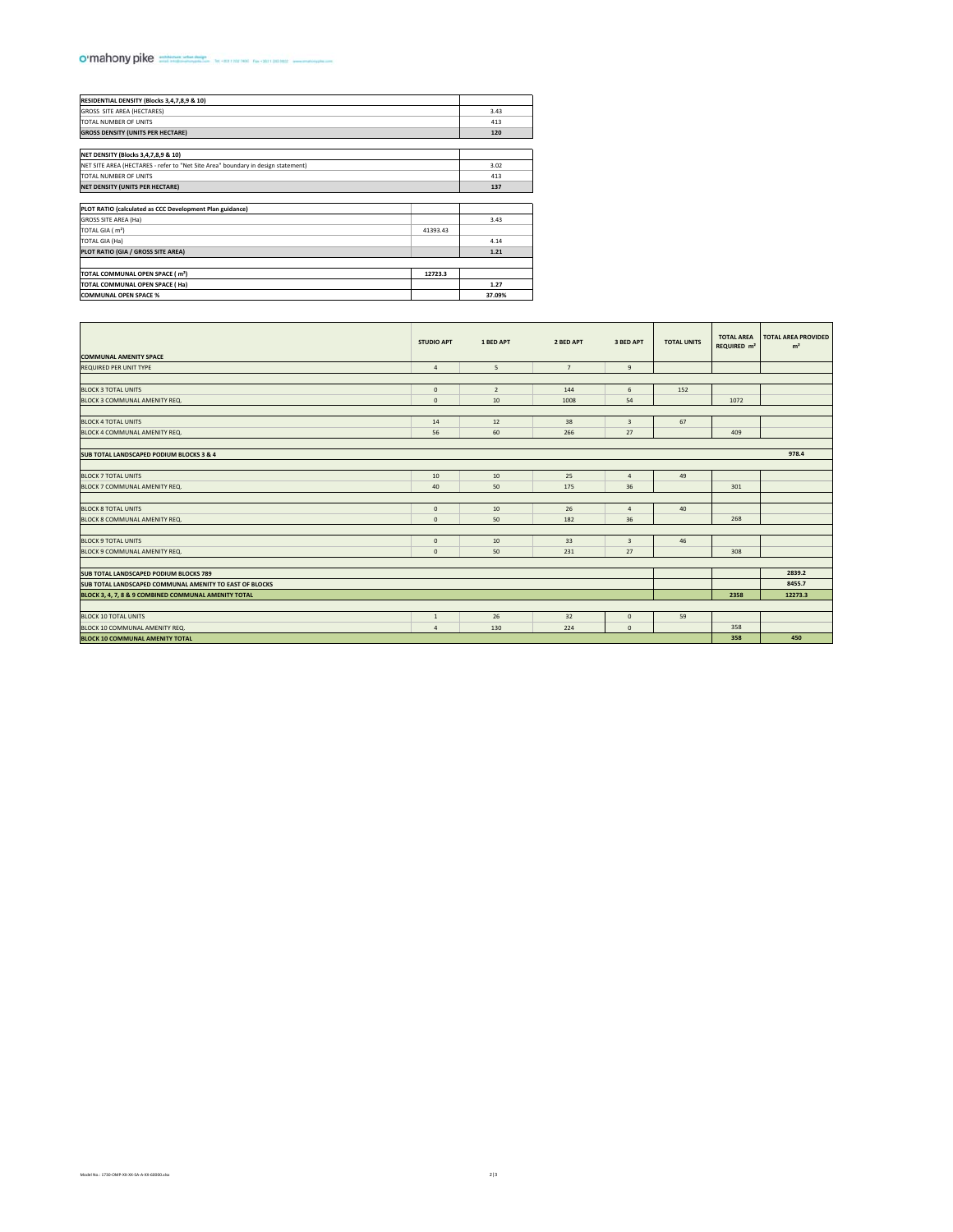## o'mahony pike management to an an an an an

| RESIDENTIAL DENSITY (Blocks 3,4,7,8,9 & 10)<br>GROSS SITE AREA (HECTARES)<br>TOTAL NUMBER OF UNITS<br><b>GROSS DENSITY (UNITS PER HECTARE)</b> | 3.43<br>413<br>120 |
|------------------------------------------------------------------------------------------------------------------------------------------------|--------------------|
|                                                                                                                                                |                    |
|                                                                                                                                                |                    |
|                                                                                                                                                |                    |
|                                                                                                                                                |                    |
|                                                                                                                                                |                    |
| NET DENSITY (Blocks 3,4,7,8,9 & 10)                                                                                                            |                    |
| NET SITE AREA (HECTARES - refer to "Net Site Area" boundary in design statement)                                                               | 3.02               |
| TOTAL NUMBER OF UNITS                                                                                                                          | 413                |
| NET DENSITY (UNITS PER HECTARE)                                                                                                                | 137                |
|                                                                                                                                                |                    |
| PLOT RATIO (calculated as CCC Development Plan guidance)                                                                                       |                    |
| GROSS SITE AREA (Ha)                                                                                                                           | 3.43               |
| TOTAL GIA (m <sup>2</sup> )<br>41393.43                                                                                                        |                    |
| TOTAL GIA (Ha)                                                                                                                                 | 4.14               |
| PLOT RATIO (GIA / GROSS SITE AREA)                                                                                                             | 1.21               |
|                                                                                                                                                |                    |
| TOTAL COMMUNAL OPEN SPACE (m <sup>2</sup> )<br>12723.3                                                                                         |                    |
| TOTAL COMMUNAL OPEN SPACE (Ha)                                                                                                                 | 1.27               |
| <b>COMMUNAL OPEN SPACE %</b>                                                                                                                   | 37.09%             |

| <b>COMMUNAL AMENITY SPACE</b>                           | <b>STUDIO APT</b> | 1 BED APT      | 2 BED APT      | 3 BED APT               | <b>TOTAL UNITS</b> | <b>TOTAL AREA</b><br>REQUIRED m <sup>2</sup> | <b>TOTAL AREA PROVIDED</b><br>m <sup>2</sup> |
|---------------------------------------------------------|-------------------|----------------|----------------|-------------------------|--------------------|----------------------------------------------|----------------------------------------------|
| REQUIRED PER UNIT TYPE                                  | $\overline{a}$    | 5              | $\overline{7}$ | $9\,$                   |                    |                                              |                                              |
|                                                         |                   |                |                |                         |                    |                                              |                                              |
| <b>BLOCK 3 TOTAL UNITS</b>                              | $\mathbf 0$       | $\overline{2}$ | 144            | 6                       | 152                |                                              |                                              |
| BLOCK 3 COMMUNAL AMENITY REQ.                           | $\mathbf 0$       | 10             | 1008           | 54                      |                    | 1072                                         |                                              |
|                                                         |                   |                |                |                         |                    |                                              |                                              |
| <b>BLOCK 4 TOTAL UNITS</b>                              | 14                | 12             | 38             | $\overline{\mathbf{3}}$ | 67                 |                                              |                                              |
| BLOCK 4 COMMUNAL AMENITY REQ.                           | 56                | 60             | 266            | 27                      |                    | 409                                          |                                              |
|                                                         |                   |                |                |                         |                    |                                              |                                              |
| <b>SUB TOTAL LANDSCAPED PODIUM BLOCKS 3 &amp; 4</b>     |                   |                |                |                         |                    |                                              | 978.4                                        |
| <b>BLOCK 7 TOTAL UNITS</b>                              | 10                | 10             | 25             | $\overline{4}$          | 49                 |                                              |                                              |
| BLOCK 7 COMMUNAL AMENITY REQ.                           | 40                | 50             | 175            | 36                      |                    | 301                                          |                                              |
|                                                         |                   |                |                |                         |                    |                                              |                                              |
| <b>BLOCK 8 TOTAL UNITS</b>                              | $\mathbf 0$       | 10             | 26             | $\overline{4}$          | 40                 |                                              |                                              |
| BLOCK 8 COMMUNAL AMENITY REQ.                           | $\mathbf{0}$      | 50             | 182            | 36                      |                    | 268                                          |                                              |
|                                                         |                   |                |                |                         |                    |                                              |                                              |
| <b>BLOCK 9 TOTAL UNITS</b>                              | $\mathbf 0$       | 10             | 33             | $\overline{\mathbf{3}}$ | 46                 |                                              |                                              |
| BLOCK 9 COMMUNAL AMENITY REQ.                           | $\mathbf{0}$      | 50             | 231            | 27                      |                    | 308                                          |                                              |
|                                                         |                   |                |                |                         |                    |                                              |                                              |
| <b>SUB TOTAL LANDSCAPED PODIUM BLOCKS 789</b>           |                   |                |                |                         |                    |                                              | 2839.2                                       |
| SUB TOTAL LANDSCAPED COMMUNAL AMENITY TO EAST OF BLOCKS |                   |                |                |                         |                    |                                              | 8455.7                                       |
| BLOCK 3, 4, 7, 8 & 9 COMBINED COMMUNAL AMENITY TOTAL    |                   |                |                |                         |                    | 2358                                         | 12273.3                                      |
|                                                         |                   |                |                |                         |                    |                                              |                                              |
| <b>BLOCK 10 TOTAL UNITS</b>                             | $\mathbf{1}$      | 26             | 32             | $\mathbf 0$             | 59                 |                                              |                                              |
| BLOCK 10 COMMUNAL AMENITY REQ.                          | $\overline{a}$    | 130            | 224            | $\mathbf{0}$            |                    | 358                                          |                                              |
| <b>BLOCK 10 COMMUNAL AMENITY TOTAL</b>                  |                   |                |                |                         |                    | 358                                          | 450                                          |